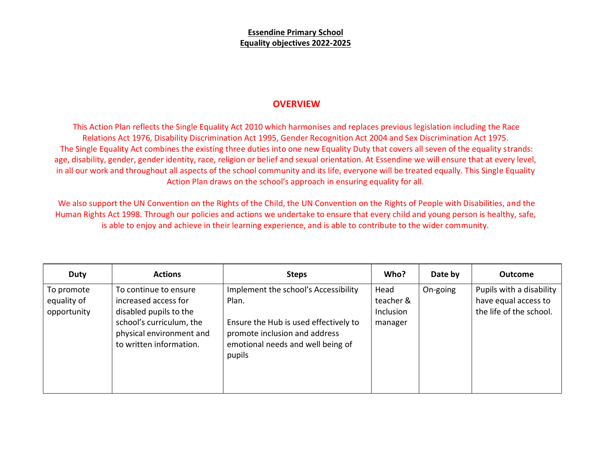## **OVERVIEW**

This Action Plan reflects the Single Equality Act 2010 which harmonises and replaces previous legislation including the Race Relations Act 1976, Disability Discrimination Act 1995, Gender Recognition Act 2004 and Sex Discrimination Act 1975. The Single Equality Act combines the existing three duties into one new Equality Duty that covers all seven of the equality strands: age, disability, gender, gender identity, race, religion or belief and sexual orientation. At Essendine we will ensure that at every level, in all our work and throughout all aspects of the school community and its life, everyone will be treated equally. This Single Equality Action Plan draws on the school's approach in ensuring equality for all.

We also support the UN Convention on the Rights of the Child, the UN Convention on the Rights of People with Disabilities, and the Human Rights Act 1998. Through our policies and actions we undertake to ensure that every child and young person is healthy, safe, is able to enjoy and achieve in their learning experience, and is able to contribute to the wider community.

| Duty                                     | <b>Actions</b>                                                                                                                                             | <b>Steps</b>                                                                                                                                                           | Who?                                      | Date by  | <b>Outcome</b>                                                              |
|------------------------------------------|------------------------------------------------------------------------------------------------------------------------------------------------------------|------------------------------------------------------------------------------------------------------------------------------------------------------------------------|-------------------------------------------|----------|-----------------------------------------------------------------------------|
| To promote<br>equality of<br>opportunity | To continue to ensure<br>increased access for<br>disabled pupils to the<br>school's curriculum, the<br>physical environment and<br>to written information. | Implement the school's Accessibility<br>Plan.<br>Ensure the Hub is used effectively to<br>promote inclusion and address<br>emotional needs and well being of<br>pupils | Head<br>teacher &<br>Inclusion<br>manager | On-going | Pupils with a disability<br>have equal access to<br>the life of the school. |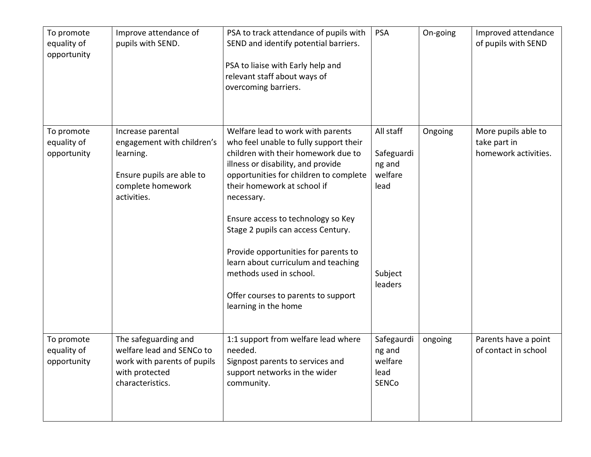| To promote<br>equality of<br>opportunity | Improve attendance of<br>pupils with SEND.                                                                                    | PSA to track attendance of pupils with<br>SEND and identify potential barriers.<br>PSA to liaise with Early help and<br>relevant staff about ways of<br>overcoming barriers.                                                                                                                                                                                                                                                                                                                         | <b>PSA</b>                                                                 | On-going | Improved attendance<br>of pupils with SEND                  |
|------------------------------------------|-------------------------------------------------------------------------------------------------------------------------------|------------------------------------------------------------------------------------------------------------------------------------------------------------------------------------------------------------------------------------------------------------------------------------------------------------------------------------------------------------------------------------------------------------------------------------------------------------------------------------------------------|----------------------------------------------------------------------------|----------|-------------------------------------------------------------|
| To promote<br>equality of<br>opportunity | Increase parental<br>engagement with children's<br>learning.<br>Ensure pupils are able to<br>complete homework<br>activities. | Welfare lead to work with parents<br>who feel unable to fully support their<br>children with their homework due to<br>illness or disability, and provide<br>opportunities for children to complete<br>their homework at school if<br>necessary.<br>Ensure access to technology so Key<br>Stage 2 pupils can access Century.<br>Provide opportunities for parents to<br>learn about curriculum and teaching<br>methods used in school.<br>Offer courses to parents to support<br>learning in the home | All staff<br>Safeguardi<br>ng and<br>welfare<br>lead<br>Subject<br>leaders | Ongoing  | More pupils able to<br>take part in<br>homework activities. |
| To promote<br>equality of<br>opportunity | The safeguarding and<br>welfare lead and SENCo to<br>work with parents of pupils<br>with protected<br>characteristics.        | 1:1 support from welfare lead where<br>needed.<br>Signpost parents to services and<br>support networks in the wider<br>community.                                                                                                                                                                                                                                                                                                                                                                    | Safegaurdi<br>ng and<br>welfare<br>lead<br>SENCo                           | ongoing  | Parents have a point<br>of contact in school                |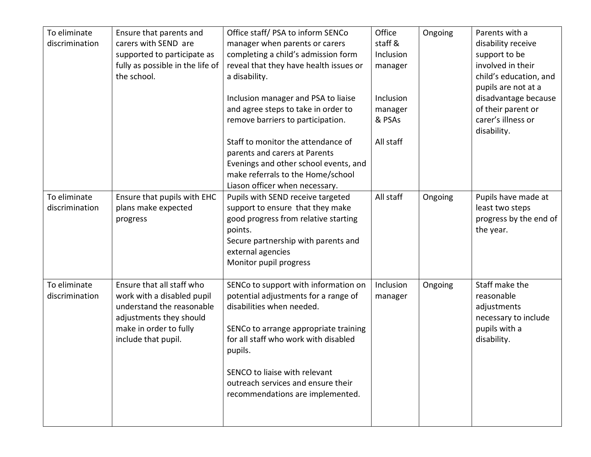| To eliminate<br>discrimination | Ensure that parents and<br>carers with SEND are<br>supported to participate as<br>fully as possible in the life of<br>the school.                                | Office staff/ PSA to inform SENCo<br>manager when parents or carers<br>completing a child's admission form<br>reveal that they have health issues or<br>a disability.<br>Inclusion manager and PSA to liaise<br>and agree steps to take in order to<br>remove barriers to participation.<br>Staff to monitor the attendance of<br>parents and carers at Parents | Office<br>staff &<br>Inclusion<br>manager<br><b>Inclusion</b><br>manager<br>& PSAs<br>All staff | Ongoing | Parents with a<br>disability receive<br>support to be<br>involved in their<br>child's education, and<br>pupils are not at a<br>disadvantage because<br>of their parent or<br>carer's illness or<br>disability. |
|--------------------------------|------------------------------------------------------------------------------------------------------------------------------------------------------------------|-----------------------------------------------------------------------------------------------------------------------------------------------------------------------------------------------------------------------------------------------------------------------------------------------------------------------------------------------------------------|-------------------------------------------------------------------------------------------------|---------|----------------------------------------------------------------------------------------------------------------------------------------------------------------------------------------------------------------|
|                                |                                                                                                                                                                  | Evenings and other school events, and<br>make referrals to the Home/school<br>Liason officer when necessary.                                                                                                                                                                                                                                                    |                                                                                                 |         |                                                                                                                                                                                                                |
| To eliminate<br>discrimination | Ensure that pupils with EHC<br>plans make expected<br>progress                                                                                                   | Pupils with SEND receive targeted<br>support to ensure that they make<br>good progress from relative starting<br>points.<br>Secure partnership with parents and<br>external agencies<br>Monitor pupil progress                                                                                                                                                  | All staff                                                                                       | Ongoing | Pupils have made at<br>least two steps<br>progress by the end of<br>the year.                                                                                                                                  |
| To eliminate<br>discrimination | Ensure that all staff who<br>work with a disabled pupil<br>understand the reasonable<br>adjustments they should<br>make in order to fully<br>include that pupil. | SENCo to support with information on<br>potential adjustments for a range of<br>disabilities when needed.<br>SENCo to arrange appropriate training<br>for all staff who work with disabled<br>pupils.<br>SENCO to liaise with relevant<br>outreach services and ensure their<br>recommendations are implemented.                                                | Inclusion<br>manager                                                                            | Ongoing | Staff make the<br>reasonable<br>adjustments<br>necessary to include<br>pupils with a<br>disability.                                                                                                            |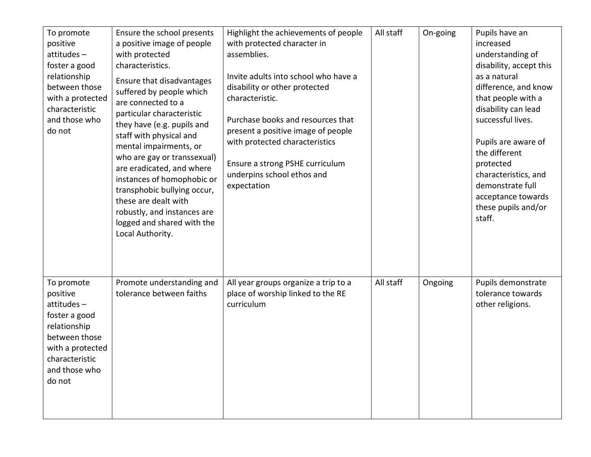| To promote<br>positive<br>$attitudes -$<br>foster a good<br>relationship<br>between those<br>with a protected<br>characteristic<br>and those who<br>do not | Ensure the school presents<br>a positive image of people<br>with protected<br>characteristics.<br>Ensure that disadvantages<br>suffered by people which<br>are connected to a<br>particular characteristic<br>they have (e.g. pupils and<br>staff with physical and<br>mental impairments, or<br>who are gay or transsexual)<br>are eradicated, and where<br>instances of homophobic or<br>transphobic bullying occur,<br>these are dealt with<br>robustly, and instances are<br>logged and shared with the<br>Local Authority. | Highlight the achievements of people<br>with protected character in<br>assemblies.<br>Invite adults into school who have a<br>disability or other protected<br>characteristic.<br>Purchase books and resources that<br>present a positive image of people<br>with protected characteristics<br>Ensure a strong PSHE curriculum<br>underpins school ethos and<br>expectation | All staff | On-going | Pupils have an<br>increased<br>understanding of<br>disability, accept this<br>as a natural<br>difference, and know<br>that people with a<br>disability can lead<br>successful lives.<br>Pupils are aware of<br>the different<br>protected<br>characteristics, and<br>demonstrate full<br>acceptance towards<br>these pupils and/or<br>staff. |
|------------------------------------------------------------------------------------------------------------------------------------------------------------|---------------------------------------------------------------------------------------------------------------------------------------------------------------------------------------------------------------------------------------------------------------------------------------------------------------------------------------------------------------------------------------------------------------------------------------------------------------------------------------------------------------------------------|-----------------------------------------------------------------------------------------------------------------------------------------------------------------------------------------------------------------------------------------------------------------------------------------------------------------------------------------------------------------------------|-----------|----------|----------------------------------------------------------------------------------------------------------------------------------------------------------------------------------------------------------------------------------------------------------------------------------------------------------------------------------------------|
| To promote<br>positive<br>$attitudes -$<br>foster a good<br>relationship<br>between those<br>with a protected<br>characteristic<br>and those who<br>do not | Promote understanding and<br>tolerance between faiths                                                                                                                                                                                                                                                                                                                                                                                                                                                                           | All year groups organize a trip to a<br>place of worship linked to the RE<br>curriculum                                                                                                                                                                                                                                                                                     | All staff | Ongoing  | Pupils demonstrate<br>tolerance towards<br>other religions.                                                                                                                                                                                                                                                                                  |